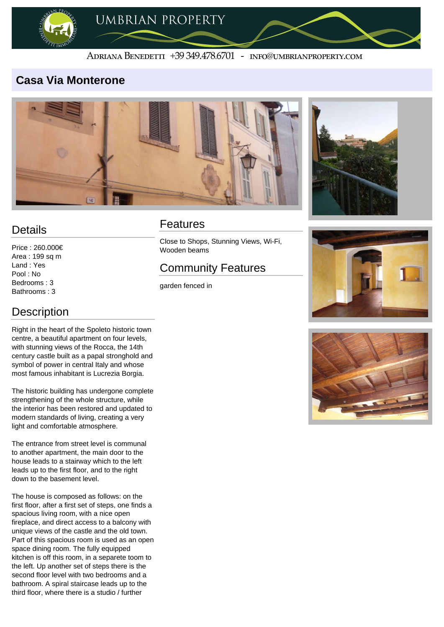

#### ADRIANA BENEDETTI +39 349.478.6701 - INFO@UMBRIANPROPERTY.COM

#### **Casa Via Monterone**





### **Details**

Price : 260.000€ Area : 199 sq m Land : Yes Pool : No Bedrooms : 3 Bathrooms : 3

# **Description**

Right in the heart of the Spoleto historic town centre, a beautiful apartment on four levels, with stunning views of the Rocca, the 14th century castle built as a papal stronghold and symbol of power in central Italy and whose

most famous inhabitant is Lucrezia Borgia.

The historic building has undergone complete strengthening of the whole structure, while the interior has been restored and updated to modern standards of living, creating a very light and comfortable atmosphere.

The entrance from street level is communal to another apartment, the main door to the house leads to a stairway which to the left leads up to the first floor, and to the right down to the basement level.

The house is composed as follows: on the first floor, after a first set of steps, one finds a spacious living room, with a nice open fireplace, and direct access to a balcony with unique views of the castle and the old town. Part of this spacious room is used as an open space dining room. The fully equipped kitchen is off this room, in a separete toom to the left. Up another set of steps there is the second floor level with two bedrooms and a bathroom. A spiral staircase leads up to the third floor, where there is a studio / further

#### Features

Close to Shops, Stunning Views, Wi-Fi, Wooden beams

# Community Features

garden fenced in